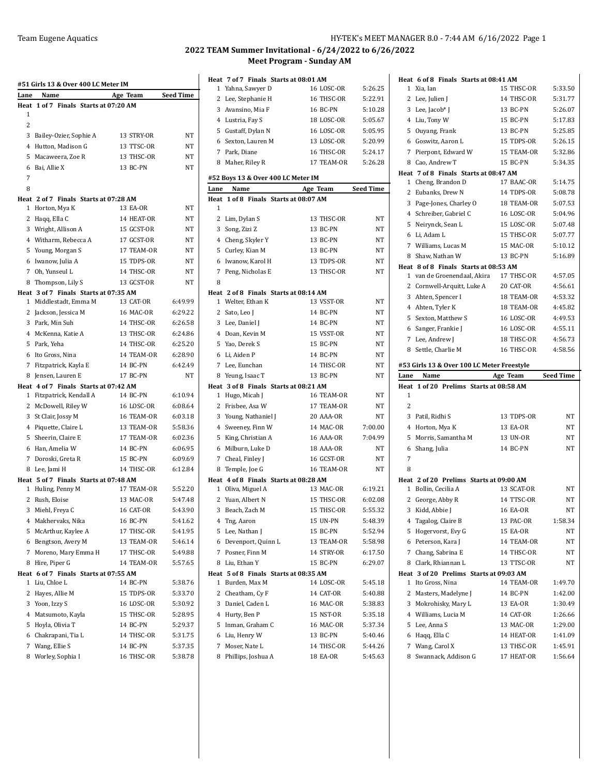|              | #51 Girls 13 & Over 400 LC Meter IM        |                        |                    |
|--------------|--------------------------------------------|------------------------|--------------------|
| Lane         | Name                                       | Age Team               | <b>Seed Time</b>   |
| Heat<br>1    | 1 of 7 Finals Starts at 07:20 AM           |                        |                    |
| 2            |                                            |                        |                    |
| 3            | Bailey-Ozier, Sophie A                     | 13 STRY-OR             | NT                 |
| 4            | Hutton, Madison G                          | 13 TTSC-OR             | NT                 |
| 5            | Macaweera, Zoe R                           | 13 THSC-OR             | NT                 |
| 6            | Bai, Allie X                               | 13 BC-PN               | NT                 |
| 7            |                                            |                        |                    |
| 8            |                                            |                        |                    |
|              | Heat 2 of 7 Finals Starts at 07:28 AM      |                        |                    |
|              | 1 Horton, Mya K                            | 13 EA-OR               | NT                 |
|              | 2 Haqq, Ella C                             | 14 HEAT-OR             | NΤ                 |
|              | 3 Wright, Allison A                        | 15 GCST-OR             | NΤ                 |
|              | 4 Witharm, Rebecca A                       | 17 GCST-OR             | NT                 |
|              | 5 Young, Morgan S                          | 17 TEAM-OR             | NΤ                 |
|              | 6 Iwanow, Julia A                          | 15 TDPS-OR             | NT                 |
|              | 7 Oh, Yunseul L                            | 14 THSC-OR             | NΤ                 |
|              | 8 Thompson, Lily S                         | 13 GCST-OR             | NΤ                 |
|              | Heat 3 of 7 Finals Starts at 07:35 AM      |                        |                    |
|              | 1 Middlestadt, Emma M                      | 13 CAT-OR              | 6:49.99            |
|              | 2 Jackson, Jessica M                       | 16 MAC-OR              | 6:29.22            |
|              | 3 Park, Min Suh                            | 14 THSC-OR             | 6:26.58            |
|              | 4 McKenna, Katie A                         | 13 THSC-OR             | 6:24.86            |
|              | 5 Park, Yeha                               | 14 THSC-OR             | 6:25.20            |
|              | 6 Ito Gross, Nina                          | 14 TEAM-OR             | 6:28.90            |
|              | 7 Fitzpatrick, Kayla E                     | 14 BC-PN               | 6:42.49            |
| 8            | Jensen, Lauren E                           | 17 BC-PN               | NT                 |
|              | Heat 4 of 7 Finals Starts at 07:42 AM      |                        |                    |
| 1            | Fitzpatrick, Kendall A                     | 14 BC-PN<br>16 LOSC-OR | 6:10.94<br>6:08.64 |
|              | 2 McDowell, Riley W<br>3 St Clair, Jossy M | 16 TEAM-OR             | 6:03.18            |
|              | 4 Piquette, Claire L                       | 13 TEAM-OR             | 5:58.36            |
|              | 5 Sheerin, Claire E                        | 17 TEAM-OR             | 6:02.36            |
|              | 6 Han, Amelia W                            | 14 BC-PN               | 6:06.95            |
|              | 7 Doroski, Greta R                         | 15 BC-PN               | 6:09.69            |
|              | 8 Lee, Jami H                              | 14 THSC-OR             | 6:12.84            |
|              | Heat 5 of 7 Finals Starts at 07:48 AM      |                        |                    |
| $\mathbf{1}$ | Huling, Penny M                            | 17 TEAM-OR             | 5:52.20            |
| 2            | Rush, Eloise                               | 13 MAC-OR              | 5:47.48            |
|              | 3 Miehl, Freya C                           | 16 CAT-OR              | 5:43.90            |
|              | 4 Makhervaks, Nika                         | 16 BC-PN               | 5:41.62            |
| 5            | McArthur, Kaylee A                         | 17 THSC-OR             | 5:41.95            |
|              | 6 Bengtson, Avery M                        | 13 TEAM-OR             | 5:46.14            |
|              | 7 Moreno, Mary Emma H                      | 17 THSC-OR             | 5:49.88            |
| 8            | Hire, Piper G                              | 14 TEAM-OR             | 5:57.65            |
|              | Heat 6 of 7 Finals Starts at 07:55 AM      |                        |                    |
|              | 1 Liu, Chloe L                             | 14 BC-PN               | 5:38.76            |
|              | 2 Hayes, Allie M                           | 15 TDPS-OR             | 5:33.70            |
|              | 3 Yoon, Izzy S                             | 16 LOSC-OR             | 5:30.92            |
|              | 4 Matsumoto, Kayla                         | 15 THSC-OR             | 5:28.95            |
| 5            | Hoyla, Olivia T                            | 14 BC-PN               | 5:29.37            |
|              | 6 Chakrapani, Tia L                        | 14 THSC-OR             | 5:31.75            |
| 7            | Wang, Ellie S                              | 14 BC-PN               | 5:37.35            |
| 8            | Worley, Sophia I                           | 16 THSC-OR             | 5:38.78            |

|        | Heat 7 of 7 Finals Starts at 08:01 AM                  |                        |                    |
|--------|--------------------------------------------------------|------------------------|--------------------|
| 1      | Yahna, Sawyer D                                        | 16 LOSC-OR             | 5:26.25            |
| 2      | Lee, Stephanie H                                       | 16 THSC-OR             | 5:22.91            |
| 3      | Avansino, Mia F                                        | 16 BC-PN               | 5:10.28            |
|        | 4 Lustria, Fay S                                       | 18 LOSC-OR             | 5:05.67            |
| 5      | Gustaff, Dylan N                                       | 16 LOSC-OR             | 5:05.95            |
| 6      | Sexton, Lauren M                                       | 13 LOSC-OR             | 5:20.99            |
|        | 7 Park, Diane                                          | 16 THSC-OR             | 5:24.17            |
|        | 8 Maher, Riley R                                       | 17 TEAM-OR             | 5:26.28            |
|        |                                                        |                        |                    |
|        | #52 Boys 13 & Over 400 LC Meter IM                     |                        |                    |
| Lane   | Name                                                   | Age Team               | <b>Seed Time</b>   |
| Heat   | 1 of 8 Finals Starts at 08:07 AM                       |                        |                    |
| 1      |                                                        |                        |                    |
| 2      | Lim, Dylan S                                           | 13 THSC-OR             | NΤ                 |
| 3      | Song, Zizi Z                                           | 13 BC-PN               | NT                 |
| 4      | Cheng, Skyler Y                                        | 13 BC-PN               | NΤ                 |
| 5      | Curley, Kian M                                         | 13 BC-PN               | NT                 |
| 6      | Iwanow, Karol H                                        | 13 TDPS-OR             | NΤ                 |
| 7      | Peng, Nicholas E                                       | 13 THSC-OR             | <b>NT</b>          |
| 8      |                                                        |                        |                    |
|        | Heat 2 of 8 Finals Starts at 08:14 AM                  |                        |                    |
| 1      | Welter, Ethan K                                        | 13 VSST-OR             | NT                 |
| 2      | Sato, Leo J                                            | 14 BC-PN               | NT                 |
| 3      | Lee, Daniel J                                          | 14 BC-PN               | NΤ                 |
| 4      | Doan, Kevin M                                          | 15 VSST-OR             | NT                 |
| 5      | Yao, Derek S                                           | 15 BC-PN               | NT                 |
| 6      | Li, Aiden P                                            | 14 BC-PN               | NT                 |
| 7      | Lee, Eunchan                                           | 14 THSC-OR             | NT                 |
|        | 8 Yeung, Isaac T                                       | 13 BC-PN               | NΤ                 |
|        | Heat 3 of 8 Finals Starts at 08:21 AM                  |                        |                    |
| 1      | Hugo, Micah J                                          | 16 TEAM-OR             | NT                 |
| 2      | Frisbee, Asa W                                         | 17 TEAM-OR             | NT                 |
| 3      | Young, Nathaniel J                                     | 20 AAA-OR              | NT                 |
| 4      | Sweeney, Finn W                                        | 14 MAC-OR              | 7:00.00            |
| 5      | King, Christian A                                      | <b>16 AAA-OR</b>       | 7:04.99            |
| 6      | Milburn, Luke D                                        | 18 AAA-OR              | NT                 |
|        | 7 Cheal, Finley J                                      | 16 GCST-OR             | NT                 |
|        | 8 Temple, Joe G                                        | 16 TEAM-OR             | NT                 |
|        | Heat 4 of 8 Finals Starts at 08:28 AM                  |                        |                    |
| 1      | Oliva, Miguel A                                        | 13 MAC-OR              | 6:19.21            |
|        | 2 Yuan, Albert N                                       | 15 THSC-OR             | 6:02.08            |
| 3      | Beach, Zach M                                          | 15 THSC-OR             | 5:55.32            |
| 4      | Tng, Aaron                                             | 15 UN-PN               | 5:48.39            |
| 5      | Lee, Nathan J                                          | 15 BC-PN               | 5:52.94            |
| 6      | Devenport, Quinn L                                     | 13 TEAM-OR             | 5:58.98            |
|        | 7 Posner, Finn M                                       | 14 STRY-OR             | 6:17.50            |
|        |                                                        |                        |                    |
|        | 8 Liu, Ethan Y                                         | 15 BC-PN               | 6:29.07            |
| 1      | Heat 5 of 8 Finals Starts at 08:35 AM<br>Burden, Max M | 14 LOSC-OR             |                    |
|        |                                                        | 14 CAT-OR              | 5:45.18            |
| 2      | Cheatham, Cy F                                         |                        | 5:40.88            |
| 3      | Daniel, Caden L                                        | 16 MAC-OR              | 5:38.83            |
| 4      | Hurty, Ben P                                           | 15 NST-OR              | 5:35.18            |
| 5      | Inman, Graham C                                        | 16 MAC-OR              | 5:37.34            |
|        |                                                        |                        |                    |
| 6      | Liu, Henry W                                           | 13 BC-PN               | 5:40.46            |
| 7<br>8 | Moser, Nate L<br>Phillips, Joshua A                    | 14 THSC-OR<br>18 EA-OR | 5:44.26<br>5:45.63 |

|      | Heat 6 of 8 Finals Starts at 08:41 AM                          |                   |                  |
|------|----------------------------------------------------------------|-------------------|------------------|
| 1    | Xia, Ian                                                       | 15 THSC-OR        | 5:33.50          |
|      | 2 Lee, Julien J                                                | 14 THSC-OR        | 5:31.77          |
|      | 3 Lee, Jacob* J                                                | 13 BC-PN          | 5:26.07          |
|      | 4 Liu, Tony W                                                  | 15 BC-PN          | 5:17.83          |
|      | 5 Ouyang, Frank                                                | 13 BC-PN          | 5:25.85          |
|      | 6 Goswitz, Aaron L                                             | 15 TDPS-OR        | 5:26.15          |
|      | 7 Pierpont, Edward W                                           | 15 TEAM-OR        | 5:32.86          |
|      | 8 Cao, Andrew T                                                | 15 BC-PN          | 5:34.35          |
|      | Heat 7 of 8 Finals Starts at 08:47 AM                          |                   |                  |
|      | 1 Cheng, Brandon D                                             | 17 BAAC-OR        | 5:14.75          |
|      | 2 Eubanks, Drew N                                              | 14 TDPS-OR        | 5:08.78          |
|      | 3 Page-Jones, Charley O                                        | 18 TEAM-OR        | 5:07.53          |
|      | 4 Schreiber, Gabriel C                                         | <b>16 LOSC-OR</b> | 5:04.96          |
|      | 5 Neirynck, Sean L                                             | 15 LOSC-OR        | 5:07.48          |
|      | 6 Li, Adam L                                                   | 15 THSC-OR        | 5:07.77          |
|      | 7 Williams, Lucas M                                            | 15 MAC-OR         | 5:10.12          |
|      | 8 Shaw, Nathan W                                               | 13 BC-PN          | 5:16.89          |
|      | Heat 8 of 8 Finals Starts at 08:53 AM                          |                   |                  |
|      | 1 van de Groenendaal, Akira                                    | 17 THSC-OR        | 4:57.05          |
|      | 2 Cornwell-Arquitt, Luke A                                     | 20 CAT-OR         | 4:56.61          |
|      | 3 Ahten, Spencer I                                             | 18 TEAM-OR        | 4:53.32          |
|      | 4 Ahten, Tyler K                                               | 18 TEAM-OR        | 4:45.82          |
|      | 5 Sexton, Matthew S                                            | 16 LOSC-OR        | 4:49.53          |
|      |                                                                | 16 LOSC-OR        | 4:55.11          |
|      | 6 Sanger, Frankie J<br>7 Lee, Andrew J                         | 18 THSC-OR        | 4:56.73          |
|      |                                                                |                   | 4:58.56          |
| 8    | Settle, Charlie M                                              | 16 THSC-OR        |                  |
|      | #53 Girls 13 & Over 100 LC Meter Freestyle                     |                   |                  |
|      |                                                                |                   |                  |
| Lane | Name                                                           | Age Team          | <b>Seed Time</b> |
| Heat | 1 of 20 Prelims Starts at 08:58 AM                             |                   |                  |
| 1    |                                                                |                   |                  |
| 2    |                                                                |                   |                  |
|      | 3 Patil, Ridhi S                                               | 13 TDPS-OR        | NΤ               |
|      | 4 Horton, Mya K                                                | 13 EA-OR          | NΤ               |
| 5    | Morris, Samantha M                                             | 13 UN-OR          | NT               |
| 6    | Shang, Julia                                                   | 14 BC-PN          | NT               |
| 7    |                                                                |                   |                  |
| 8    |                                                                |                   |                  |
|      | Heat 2 of 20 Prelims Starts at 09:00 AM                        |                   |                  |
| 1    | Bollin, Cecilia A                                              | 13 SCAT-OR        | NT               |
| 2    | George, Abby R                                                 | 14 TTSC-OR        | NT               |
| 3    | Kidd, Abbie J                                                  | <b>16 EA-OR</b>   | NΤ               |
|      | 4 Tagalog, Claire B                                            | 13 PAC-OR         | 1:58.34          |
| 5    | Hogervorst, Evy G                                              | 15 EA-OR          | NΤ               |
|      | 6 Peterson, Kara J                                             | 14 TEAM-OR        | NΤ               |
|      | 7 Chang, Sabrina E                                             | 14 THSC-OR        | NT               |
|      |                                                                | 13 TTSC-OR        | NΤ               |
|      | 8 Clark, Rhiannan L<br>Heat 3 of 20 Prelims Starts at 09:03 AM |                   |                  |
| 1    | Ito Gross, Nina                                                | 14 TEAM-OR        | 1:49.70          |
| 2    | Masters, Madelyne J                                            | 14 BC-PN          | 1:42.00          |
|      | 3 Mokrohisky, Mary L                                           | 13 EA-OR          | 1:30.49          |
|      | 4 Williams, Lucia M                                            | 14 CAT-OR         | 1:26.66          |
|      | 5 Lee, Anna S                                                  | 13 MAC-OR         | 1:29.00          |
|      | 6 Haqq, Ella C                                                 | 14 HEAT-OR        | 1:41.09          |
|      |                                                                | 13 THSC-OR        | 1:45.91          |
|      | 7 Wang, Carol X<br>8 Swannack, Addison G                       | 17 HEAT-OR        | 1:56.64          |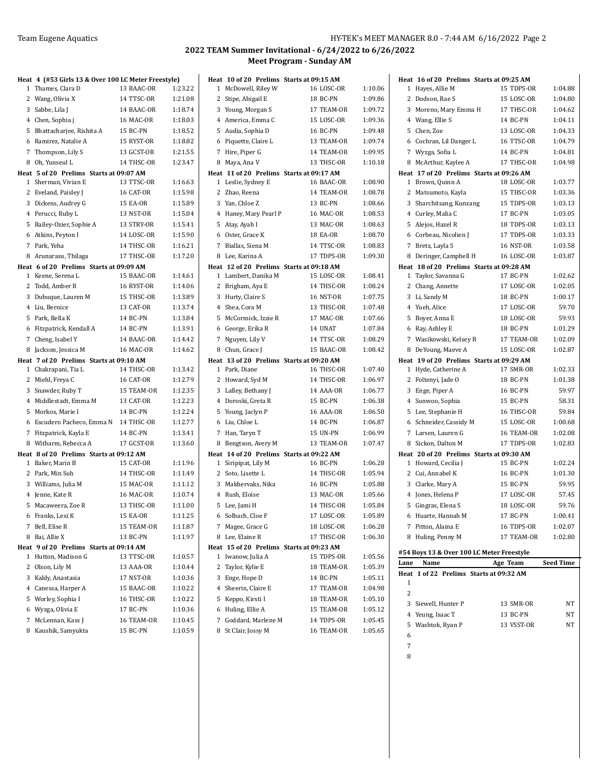|   | Heat 4 (#53 Girls 13 & Over 100 LC Meter Freestyle) |                        |                    |
|---|-----------------------------------------------------|------------------------|--------------------|
| 1 | Thames, Clara D                                     | 13 BAAC-OR             | 1:23.22            |
|   | 2 Wang, Olivia X                                    | 14 TTSC-OR             | 1:21.08            |
|   | 3 Sabbe, Lila J                                     | 14 BAAC-OR             | 1:18.74            |
|   | 4 Chen, Sophia j                                    | 16 MAC-OR              | 1:18.03            |
|   | 5 Bhattacharjee, Rishita A                          | 15 BC-PN               | 1:18.52            |
|   | 6 Ramirez, Natalie A                                | 15 RYST-OR             | 1:18.82            |
|   | 7 Thompson, Lily S                                  | 13 GCST-OR             | 1:21.55            |
| 8 | Oh, Yunseul L                                       | 14 THSC-OR             | 1:23.47            |
|   | Heat 5 of 20 Prelims Starts at 09:07 AM             |                        |                    |
|   | 1 Sherman, Vivian E                                 | 13 TTSC-OR             | 1:16.63            |
|   | 2 Eveland, Paisley J                                | 16 CAT-OR              | 1:15.98            |
|   | 3 Dickens, Audrey G                                 | 15 EA-OR               | 1:15.89            |
|   | 4 Perucci, Ruby L                                   | 13 NST-OR              | 1:15.04            |
|   | 5 Bailey-Ozier, Sophie A                            | 13 STRY-OR             | 1:15.41            |
|   | 6 Atkins, Peyton I                                  | 14 LOSC-OR             | 1:15.90            |
|   | 7 Park, Yeha                                        | 14 THSC-OR             | 1:16.21            |
|   | 8 Arunarasu, Thilaga                                | 17 THSC-OR             | 1:17.20            |
|   | Heat 6 of 20 Prelims Starts at 09:09 AM             |                        |                    |
|   | 1 Keene, Serena L                                   | 15 BAAC-OR             | 1:14.61            |
|   | 2 Todd, Amber R                                     | 16 RYST-OR             | 1:14.06            |
|   | 3 Dubuque, Lauren M                                 | 15 THSC-OR             | 1:13.89            |
|   | 4 Liu, Bernice                                      | 13 CAT-OR<br>14 BC-PN  | 1:13.74<br>1:13.84 |
|   | 5 Park, Bella K                                     |                        |                    |
|   | 6 Fitzpatrick, Kendall A                            | 14 BC-PN<br>14 BAAC-OR | 1:13.91<br>1:14.42 |
|   | 7 Cheng, Isabel Y<br>Jackson, Jessica M             | 16 MAC-OR              | 1:14.62            |
| 8 | Heat 7 of 20 Prelims Starts at 09:10 AM             |                        |                    |
|   | 1 Chakrapani, Tia L                                 | 14 THSC-OR             | 1:13.42            |
|   | 2 Miehl, Freya C                                    | 16 CAT-OR              | 1:12.79            |
|   | 3 Snawder, Ruby T                                   | 15 TEAM-OR             | 1:12.35            |
|   | 4 Middlestadt, Emma M                               | 13 CAT-OR              | 1:12.23            |
|   | 5 Morkos, Marie I                                   | 14 BC-PN               | 1:12.24            |
|   | 6 Escudero Pacheco, Emma N                          | 14 THSC-OR             | 1:12.77            |
|   | 7 Fitzpatrick, Kayla E                              | 14 BC-PN               | 1:13.41            |
|   | 8 Witharm, Rebecca A                                | 17 GCST-OR             | 1:13.60            |
|   | Heat 8 of 20 Prelims Starts at 09:12 AM             |                        |                    |
|   | 1 Baker, Marin B                                    | 15 CAT-OR              | 1:11.96            |
|   | 2 Park, Min Suh                                     | 14 THSC-OR             | 1:11.49            |
|   | 3 Williams, Julia M                                 | 15 MAC-OR              | 1:11.12            |
|   | 4 Jenne, Kate R                                     | 16 MAC-OR              | 1:10.74            |
|   | 5 Macaweera, Zoe R                                  | 13 THSC-OR             | 1:11.00            |
|   | 6 Franks, Lexi K                                    | 15 EA-OR               | 1:11.25            |
| 7 | Bell, Elise R                                       | 15 TEAM-OR             | 1:11.87            |
| 8 | Bai, Allie X                                        | 13 BC-PN               | 1:11.97            |
|   | Heat 9 of 20 Prelims Starts at 09:14 AM             |                        |                    |
| 1 | Hutton, Madison G                                   | 13 TTSC-OR             | 1:10.57            |
| 2 | Olson, Lily M                                       | 13 AAA-OR              | 1:10.44            |
|   | 3 Kaldy, Anastasia                                  | 17 NST-OR              | 1:10.36            |
|   | 4 Canessa, Harper A                                 | 15 BAAC-OR             | 1:10.22            |
|   | 5 Worley, Sophia I                                  | 16 THSC-OR             | 1:10.22            |
|   | 6 Wyzga, Olivia E                                   | 17 BC-PN               | 1:10.36            |
|   | 7 McLennan, Kass J                                  | 16 TEAM-OR             | 1:10.45            |
| 8 | Kaushik, Samyukta                                   | 15 BC-PN               | 1:10.59            |

|                | Heat 10 of 20 Prelims Starts at 09:15 AM                        |                                     |         |
|----------------|-----------------------------------------------------------------|-------------------------------------|---------|
| $\mathbf{1}$   | McDowell, Riley W                                               | <b>16 LOSC-OR</b>                   | 1:10.06 |
|                | 2 Stipe, Abigail E                                              | 18 BC-PN                            | 1:09.86 |
|                | 3 Young, Morgan S                                               | 17 TEAM-OR                          | 1:09.72 |
|                | 4 America, Emma C                                               | 15 LOSC-OR                          | 1:09.36 |
|                | 5 Audia, Sophia D                                               | 16 BC-PN                            | 1:09.48 |
| 6              | Piquette, Claire L                                              | 13 TEAM-OR                          | 1:09.74 |
| 7              | Hire, Piper G                                                   | 14 TEAM-OR                          | 1:09.95 |
| 8              | Maya, Ana V                                                     | 13 THSC-OR                          | 1:10.18 |
|                | Heat 11 of 20 Prelims Starts at 09:17 AM                        |                                     |         |
|                | 1 Leslie, Sydney E                                              | 16 BAAC-OR                          | 1:08.90 |
| 2              | Zhao, Reena                                                     | 14 TEAM-OR                          | 1:08.78 |
|                | 3 Yan, Chloe Z                                                  | 13 BC-PN                            | 1:08.66 |
|                | 4 Haney, Mary Pearl P                                           | 16 MAC-OR                           | 1:08.53 |
|                | 5 Atay, Ayah I                                                  | 13 MAC-OR                           | 1:08.63 |
|                | 6 Oster, Grace K                                                | 18 EA-OR                            | 1:08.70 |
|                | 7 Biallas, Siena M                                              | 14 TTSC-OR                          | 1:08.83 |
|                | 8 Lee, Karina A                                                 | 17 TDPS-OR                          | 1:09.30 |
|                | Heat 12 of 20 Prelims Starts at 09:18 AM                        |                                     |         |
|                | 1 Lambert. Danika M                                             | 15 LOSC-OR                          | 1:08.41 |
|                | 2 Brigham, Aya E                                                | 14 THSC-OR                          | 1:08.24 |
|                | 3 Hurty, Claire S                                               | <b>16 NST-OR</b>                    | 1:07.75 |
|                | 4 Shea, Cora M                                                  | 13 THSC-OR                          | 1:07.48 |
|                | 5 McCormick, Izzie R                                            | 17 MAC-OR                           | 1:07.66 |
|                | 6 George, Erika R                                               | 14 UNAT                             | 1:07.84 |
| $\overline{7}$ | Nguyen, Lily V                                                  | 14 TTSC-OR                          | 1:08.29 |
|                | 8 Chun, Grace J                                                 | 15 BAAC-OR                          | 1:08.42 |
|                | Heat 13 of 20 Prelims Starts at 09:20 AM<br>1 Park, Diane       | 16 THSC-OR                          | 1:07.40 |
|                |                                                                 | 14 THSC-OR                          | 1:06.97 |
|                | 2 Howard, Syd M                                                 | 14 AAA-OR                           | 1:06.77 |
|                | 3 Lalley, Bethany J<br>4 Doroski, Greta R                       | 15 BC-PN                            | 1:06.38 |
| 5              | Young, Jaclyn P                                                 | 16 AAA-OR                           | 1:06.50 |
| 6              | Liu, Chloe L                                                    | 14 BC-PN                            | 1:06.87 |
| 7              | Han, Taryn T                                                    | 15 UN-PN                            | 1:06.99 |
| 8              |                                                                 | 13 TEAM-OR                          | 1:07.47 |
|                | Bengtson, Avery M                                               |                                     |         |
|                | Heat 14 of 20 Prelims Starts at 09:22 AM<br>1 Siripipat, Lily M | 16 BC-PN                            | 1:06.28 |
|                | 2 Soto, Lisette L                                               | 14 THSC-OR                          | 1:05.94 |
|                | 3 Makhervaks, Nika                                              | <b>16 BC-PN</b>                     | 1:05.88 |
|                | 4 Rush, Eloise                                                  | 13 MAC-OR                           | 1:05.66 |
| 5              | Lee, Jami H                                                     | 14 THSC-OR                          | 1:05.84 |
| 6              | Solbach, Cloe F                                                 | 17 LOSC-OR                          | 1:05.89 |
| 7              | Magee, Grace G                                                  | 18 LOSC-OR                          | 1:06.28 |
| 8              | Lee, Elaine R                                                   | 17 THSC-OR                          | 1:06.30 |
| Heat           |                                                                 | 15 of 20 Prelims Starts at 09:23 AM |         |
| 1              | Iwanow, Julia A                                                 | 15 TDPS-OR                          | 1:05.56 |
| 2              | Taylor, Kylie E                                                 | 18 TEAM-OR                          | 1:05.39 |
| 3              | Enge, Hope D                                                    | 14 BC-PN                            | 1:05.11 |
| 4              | Sheerin, Claire E                                               | 17 TEAM-OR                          | 1:04.98 |
| 5              | Keppo, Kirsti I                                                 | 18 TEAM-OR                          | 1:05.10 |
| 6              | Huling, Ellie A                                                 | 15 TEAM-OR                          | 1:05.12 |
| 7              | Goddard, Marlene M                                              | 14 TDPS-OR                          | 1:05.45 |
| 8              | St Clair, Jossy M                                               | 16 TEAM-OR                          | 1:05.65 |
|                |                                                                 |                                     |         |

|              | Heat 16 of 20 Prelims Starts at 09:25 AM          |                                          |           |
|--------------|---------------------------------------------------|------------------------------------------|-----------|
|              | 1 Hayes, Allie M                                  | 15 TDPS-OR                               | 1:04.88   |
|              | 2 Dodson, Rae S                                   | 15 LOSC-OR                               | 1:04.80   |
|              | 3 Moreno, Mary Emma H                             | 17 THSC-OR                               | 1:04.62   |
|              | 4 Wang, Ellie S                                   | 14 BC-PN                                 | 1:04.11   |
|              | 5 Chen, Zoe                                       | 13 LOSC-OR                               | 1:04.33   |
|              | 6 Cochran, Lil Danger L                           | 16 TTSC-OR                               | 1:04.79   |
|              | 7 Wyzga, Sofia L                                  | 14 BC-PN                                 | 1:04.81   |
| 8            | McArthur, Kaylee A                                | 17 THSC-OR                               | 1:04.98   |
|              | Heat 17 of 20 Prelims Starts at 09:26 AM          |                                          |           |
|              | 1 Brown, Quinn A                                  | 18 LOSC-OR                               | 1:03.77   |
|              | 2 Matsumoto, Kayla                                | 15 THSC-OR                               | 1:03.36   |
|              | 3 Sharchitsang, Kunzang                           | 15 TDPS-OR                               | 1:03.13   |
|              | 4 Curley, Malia C                                 | 17 BC-PN                                 | 1:03.05   |
|              | 5 Alejos, Hazel R                                 | 18 TDPS-OR                               | 1:03.13   |
|              | 6 Corbeau, Nicolien J                             | 17 TDPS-OR                               | 1:03.33   |
|              | 7 Bretz, Layla S                                  | <b>16 NST-OR</b>                         | 1:03.58   |
| 8            | Deringer, Campbell H                              | 16 LOSC-OR                               | 1:03.87   |
|              |                                                   | Heat 18 of 20 Prelims Starts at 09:28 AM |           |
|              | 1 Taylor, Savanna G                               | 17 BC-PN                                 | 1:02.62   |
|              | 2 Chang, Annette                                  | 17 LOSC-OR                               | 1:02.05   |
|              | 3 Li, Sandy M                                     | 18 BC-PN                                 | 1:00.17   |
|              | 4 Yueh, Alice                                     | 17 LOSC-OR                               | 59.70     |
|              | 5 Boyer, Anna E                                   | 18 LOSC-OR                               | 59.93     |
|              | 6 Ray, Ashley E                                   | 18 BC-PN                                 | 1:01.29   |
|              | 7 Wasikowski, Kelsey R                            | 17 TEAM-OR                               | 1:02.09   |
| 8            | DeYoung, Maeve A                                  | 15 LOSC-OR                               | 1:02.87   |
|              | Heat 19 of 20 Prelims Starts at 09:29 AM          |                                          |           |
|              | 1 Hyde, Catherine A                               | 17 SMR-OR                                | 1:02.33   |
|              | 2 Foltenyi, Jade O                                | 18 BC-PN                                 | 1:01.38   |
|              | 3 Enge, Piper A                                   | 16 BC-PN                                 | 59.97     |
|              | 4 Sunwoo, Sophia                                  | 15 BC-PN                                 | 58.31     |
|              | 5 Lee, Stephanie H                                | 16 THSC-OR                               | 59.84     |
|              | 6 Schneider, Cassidy M                            | 15 LOSC-OR                               | 1:00.68   |
|              | 7 Larsen, Lauren G                                | 16 TEAM-OR                               | 1:02.08   |
|              | 8 Sickon, Dalton M                                | 17 TDPS-OR                               | 1:02.83   |
|              |                                                   | Heat 20 of 20 Prelims Starts at 09:30 AM |           |
|              | 1 Howard, Cecilia J                               | 15 BC-PN                                 |           |
|              |                                                   |                                          | 1:02.24   |
|              | 2 Cui, Annabel K                                  | 16 BC-PN                                 | 1:01.30   |
|              | 3 Clarke, Mary A                                  | 15 BC-PN                                 | 59.95     |
|              | 4 Jones, Helena P                                 | 17 LOSC-OR                               | 57.45     |
|              | 5 Gingras, Elena S                                | 18 LOSC-OR                               | 59.76     |
|              | 6 Huarte, Hannah M                                | 17 BC-PN                                 | 1:00.41   |
|              | 7 Pitton, Alaina E                                | 16 TDPS-OR                               | 1:02.07   |
|              | 8 Huling, Penny M                                 | 17 TEAM-OR                               | 1:02.80   |
|              |                                                   |                                          |           |
|              | #54 Boys 13 & Over 100 LC Meter Freestyle<br>Name |                                          |           |
| Lane<br>Heat | 1 of 22 Prelims Starts at 09:32 AM                | Age Team                                 | Seed Time |
| 1            |                                                   |                                          |           |
| 2            |                                                   |                                          |           |
|              | 3 Siewell, Hunter P                               | 13 SMR-OR                                | NΤ        |
|              | 4 Yeung, Isaac T                                  | 13 BC-PN                                 | NT        |
|              | 5 Washtok, Ryan P                                 | 13 VSST-OR                               | NΤ        |
| 6            |                                                   |                                          |           |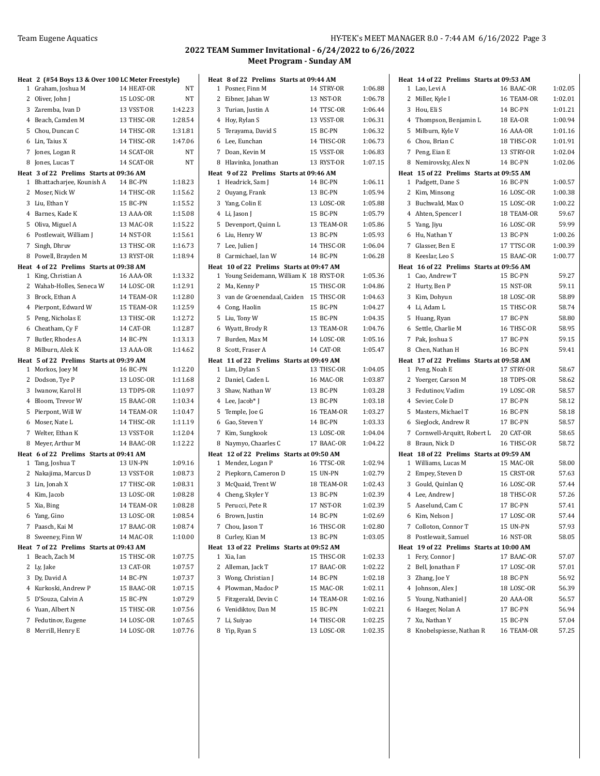|        | Heat 2 (#54 Boys 13 & Over 100 LC Meter Freestyle) |                                |                    |
|--------|----------------------------------------------------|--------------------------------|--------------------|
| 1      | Graham, Joshua M                                   | 14 HEAT-OR                     | NΤ                 |
| 2      | Oliver, John J                                     | 15 LOSC-OR                     | NT                 |
| 3      | Zaremba, Ivan D                                    | 13 VSST-OR                     | 1:42.23            |
|        | 4 Beach, Camden M                                  | 13 THSC-OR                     | 1:28.54            |
| 5      | Chou, Duncan C                                     | 14 THSC-OR                     | 1:31.81            |
| 6      | Lin, Taius X                                       | 14 THSC-OR                     | 1:47.06            |
| 7      | Jones, Logan R                                     | 14 SCAT-OR                     | NT                 |
| 8      | Jones, Lucas T                                     | 14 SCAT-OR                     | NT                 |
|        | Heat 3 of 22 Prelims Starts at 09:36 AM            |                                |                    |
| 1      | Bhattacharjee, Kounish A                           | 14 BC-PN                       | 1:18.23            |
| 2      | Moser, Nick W                                      | 14 THSC-OR                     | 1:15.62            |
|        | 3 Liu, Ethan Y                                     | 15 BC-PN                       | 1:15.52            |
|        | 4 Barnes, Kade K                                   | 13 AAA-OR                      | 1:15.08            |
| 5      | Oliva, Miguel A                                    | 13 MAC-OR                      | 1:15.22            |
| 6      | Postlewait, William J                              | 14 NST-OR                      | 1:15.61            |
| 7      | Singh, Dhruv                                       | 13 THSC-OR                     | 1:16.73            |
| 8      | Powell, Brayden M                                  | 13 RYST-OR                     | 1:18.94            |
|        | Heat 4 of 22 Prelims Starts at 09:38 AM            |                                | 1:13.32            |
| 1<br>2 | King, Christian A<br>Wahab-Holles, Seneca W        | <b>16 AAA-OR</b><br>14 LOSC-OR | 1:12.91            |
| 3      | Brock, Ethan A                                     | 14 TEAM-OR                     | 1:12.80            |
|        | 4 Pierpont, Edward W                               | 15 TEAM-OR                     | 1:12.59            |
| 5      | Peng, Nicholas E                                   | 13 THSC-OR                     | 1:12.72            |
| 6      | Cheatham, Cy F                                     | 14 CAT-OR                      | 1:12.87            |
| 7      | Butler, Rhodes A                                   | 14 BC-PN                       | 1:13.13            |
| 8      | Milburn, Alek K                                    | 13 AAA-OR                      | 1:14.62            |
|        | Heat 5 of 22 Prelims Starts at 09:39 AM            |                                |                    |
| 1      | Morkos, Joey M                                     | 16 BC-PN                       | 1:12.20            |
| 2      | Dodson, Tye P                                      | 13 LOSC-OR                     | 1:11.68            |
| 3      | Iwanow, Karol H                                    | 13 TDPS-OR                     | 1:10.97            |
|        | 4 Bloom, Trevor W                                  | 15 BAAC-OR                     | 1:10.34            |
| 5      | Pierpont, Will W                                   | 14 TEAM-OR                     | 1:10.47            |
| 6      | Moser, Nate L                                      | 14 THSC-OR                     | 1:11.19            |
| 7      | Welter, Ethan K                                    | 13 VSST-OR                     | 1:12.04            |
| 8      | Meyer, Arthur M                                    | 14 BAAC-OR                     | 1:12.22            |
|        | Heat 6 of 22 Prelims Starts at 09:41 AM            |                                |                    |
| 1      | Tang, Joshua T                                     | <b>13 UN-PN</b>                | 1:09.16            |
|        | 2 Nakajima, Marcus D                               | 13 VSST-OR                     | 1:08.73            |
|        | 3 Lin, Jonah X                                     | 17 THSC-OR                     | 1:08.31            |
|        | 4 Kim, Jacob                                       | 13 LOSC-OR                     | 1:08.28            |
| 5      | Xia, Bing                                          | 14 TEAM-OR                     | 1:08.28            |
| 6      | Yang, Gino                                         | 13 LOSC-OR                     | 1:08.54            |
| 7      | Paasch, Kai M                                      | 17 BAAC-OR                     | 1:08.74            |
| 8      | Sweeney, Finn W                                    | 14 MAC-OR                      | 1:10.00            |
|        | Heat 7 of 22 Prelims Starts at 09:43 AM            |                                |                    |
| 1<br>2 | Beach, Zach M<br>Ly, Jake                          | 15 THSC-OR<br>13 CAT-OR        | 1:07.75<br>1:07.57 |
|        | 3 Dy, David A                                      | 14 BC-PN                       | 1:07.37            |
|        | 4 Kurkoski, Andrew P                               | 15 BAAC-OR                     | 1:07.15            |
|        | 5 D'Souza, Calvin A                                | 15 BC-PN                       | 1:07.29            |
|        | 6 Yuan, Albert N                                   | 15 THSC-OR                     | 1:07.56            |
|        | 7 Fedutinov, Eugene                                | 14 LOSC-OR                     | 1:07.65            |
|        | 8 Merrill, Henry E                                 | 14 LOSC-OR                     | 1:07.76            |

| Heat   | 8 of 22 Prelims Starts at 09:44 AM        |                          |                    |
|--------|-------------------------------------------|--------------------------|--------------------|
| 1      | Posner, Finn M                            | 14 STRY-OR               | 1:06.88            |
| 2      | Eibner, Jahan W                           | 13 NST-OR                | 1:06.78            |
| 3      | Turian, Justin A                          | 14 TTSC-OR               | 1:06.44            |
|        | 4 Hoy, Rylan S                            | 13 VSST-OR               | 1:06.31            |
| 5      | Terayama, David S                         | 15 BC-PN                 | 1:06.32            |
| 6      | Lee, Eunchan                              | 14 THSC-OR               | 1:06.73            |
| 7      | Doan, Kevin M                             | 15 VSST-OR               | 1:06.83            |
| 8      | Hlavinka, Jonathan                        | 13 RYST-OR               | 1:07.15            |
|        | Heat 9 of 22 Prelims Starts at 09:46 AM   |                          |                    |
|        | 1 Headrick, Sam J                         | 14 BC-PN                 | 1:06.11            |
|        | 2 Ouyang, Frank                           | 13 BC-PN                 | 1:05.94            |
| 3      | Yang, Colin E                             | 13 LOSC-OR               | 1:05.88            |
|        | 4 Li, Jason J                             | 15 BC-PN                 | 1:05.79            |
| 5      | Devenport, Quinn L                        | 13 TEAM-OR               | 1:05.86            |
|        | 6 Liu, Henry W                            | 13 BC-PN                 | 1:05.93            |
| 7      | Lee, Julien J                             | 14 THSC-OR               | 1:06.04            |
| 8      | Carmichael, Ian W                         | 14 BC-PN                 | 1:06.28            |
|        | Heat 10 of 22 Prelims Starts at 09:47 AM  |                          |                    |
|        | 1 Young Seidemann, William K 18 RYST-OR   |                          | 1:05.36            |
|        | 2 Ma, Kenny P                             | 15 THSC-OR               | 1:04.86            |
|        | 3 van de Groenendaal, Caiden              | 15 THSC-OR               | 1:04.63            |
|        | 4 Cong, Haolin                            | 15 BC-PN                 | 1:04.27            |
|        | 5 Liu, Tony W                             | 15 BC-PN                 | 1:04.35            |
|        | 6 Wyatt, Brody R                          | 13 TEAM-OR               | 1:04.76            |
| 7      | Burden, Max M                             | 14 LOSC-OR               | 1:05.16            |
| 8      | Scott, Fraser A                           | 14 CAT-OR                | 1:05.47            |
|        | Heat 11 of 22 Prelims Starts at 09:49 AM  |                          |                    |
|        |                                           |                          |                    |
| 1      | Lim, Dylan S                              | 13 THSC-OR               | 1:04.05            |
|        | 2 Daniel, Caden L                         | <b>16 MAC-OR</b>         | 1:03.87            |
|        | 3 Shaw, Nathan W                          | 13 BC-PN                 | 1:03.28            |
|        | 4 Lee, Jacob* J                           | 13 BC-PN                 | 1:03.18            |
| 5      | Temple, Joe G                             | 16 TEAM-OR               | 1:03.27            |
|        | 6 Gao, Steven Y                           | 14 BC-PN                 | 1:03.33            |
| 7      | Kim, Sungkook                             | 13 LOSC-OR               | 1:04.04            |
| 8      | Naymyo, Chaarles C                        | 17 BAAC-OR               | 1:04.22            |
|        | Heat 12 of 22 Prelims Starts at 09:50 AM  |                          |                    |
|        | 1 Mendez, Logan P                         | 16 TTSC-OR               | 1:02.94            |
|        | 2 Piepkorn, Cameron D                     | <b>15 UN-PN</b>          | 1:02.79            |
|        | 3 McQuaid, Trent W                        | 18 TEAM-OR               | 1:02.43            |
|        | 4 Cheng, Skyler Y                         | 13 BC-PN                 | 1:02.39            |
| 5      | Perucci, Pete R                           | 17 NST-OR                | 1:02.39            |
|        | 6 Brown, Justin                           | 14 BC-PN                 | 1:02.69            |
|        | 7 Chou, Jason T                           | 16 THSC-OR               | 1:02.80            |
| 8      | Curley, Kian M                            | 13 BC-PN                 | 1:03.05            |
| Heat   | 13 of 22 Prelims Starts at 09:52 AM       |                          |                    |
| 1<br>2 | Xia, Ian                                  | 15 THSC-OR               | 1:02.33            |
|        | Alleman, Jack T                           | 17 BAAC-OR<br>14 BC-PN   | 1:02.22<br>1:02.18 |
|        | 3 Wong, Christian J<br>4 Plowman, Madoc P | 15 MAC-OR                | 1:02.11            |
|        |                                           |                          |                    |
|        | 5 Fitzgerald, Devin C                     | 14 TEAM-OR               | 1:02.16<br>1:02.21 |
| 7      | 6 Venidiktov, Dan M                       | 15 BC-PN                 |                    |
| 8      | Li, Suiyao<br>Yip, Ryan S                 | 14 THSC-OR<br>13 LOSC-OR | 1:02.25<br>1:02.35 |

|              | Heat 14 of 22 Prelims Starts at 09:53 AM |                              |                |
|--------------|------------------------------------------|------------------------------|----------------|
| 1            | Lao, Levi A                              | 16 BAAC-OR                   | 1:02.05        |
| 2            | Miller, Kyle I                           | 16 TEAM-OR                   | 1:02.01        |
| 3            | Hou, Eli S                               | 14 BC-PN                     | 1:01.21        |
| 4            | Thompson, Benjamin L                     | 18 EA-OR                     | 1:00.94        |
| 5            | Milburn, Kyle V                          | 16 AAA-OR                    | 1:01.16        |
| 6            | Chou, Brian C                            | 18 THSC-OR                   | 1:01.91        |
| 7            | Peng, Eian E                             | 13 STRY-OR                   | 1:02.04        |
| 8            | Nemirovsky, Alex N                       | 14 BC-PN                     | 1:02.06        |
|              | Heat 15 of 22 Prelims Starts at 09:55 AM |                              |                |
| 1            | Padgett, Dane S                          | 16 BC-PN                     | 1:00.57        |
| 2            | Kim, Minsong                             | 16 LOSC-OR                   | 1:00.38        |
| 3            | Buchwald, Max O                          | 15 LOSC-OR                   | 1:00.22        |
| 4            | Ahten, Spencer I                         | 18 TEAM-OR                   | 59.67          |
| 5            | Yang, Jiyu                               | <b>16 LOSC-OR</b>            | 59.99          |
| 6            | Hu, Nathan Y                             | 13 BC-PN                     | 1:00.26        |
| 7            | Glasser, Ben E                           | 17 TTSC-OR                   | 1:00.39        |
| 8            | Keeslar, Leo S                           | 15 BAAC-OR                   | 1:00.77        |
|              | Heat 16 of 22 Prelims Starts at 09:56 AM |                              |                |
| $\mathbf{1}$ | Cao, Andrew T                            | 15 BC-PN                     | 59.27          |
| 2            | Hurty, Ben P                             | 15 NST-OR                    | 59.11          |
| 3            | Kim, Dohyun                              | 18 LOSC-OR                   | 58.89          |
| 4            | Li, Adam L                               | 15 THSC-OR                   | 58.74          |
| 5            | Huang, Ryan                              | 17 BC-PN                     | 58.80          |
| 6            | Settle, Charlie M                        | 16 THSC-OR                   | 58.95          |
| 7            | Pak, Joshua S                            | 17 BC-PN                     | 59.15          |
| 8            | Chen, Nathan H                           | 16 BC-PN                     | 59.41          |
|              | Heat 17 of 22 Prelims Starts at 09:58 AM |                              |                |
| 1            | Peng, Noah E                             | 17 STRY-OR                   | 58.67          |
| 2            | Yoerger, Carson M                        | 18 TDPS-OR                   | 58.62          |
| 3            | Fedutinov, Vadim                         | 19 LOSC-OR                   | 58.57          |
| 4            | Sevier, Cole D                           | 17 BC-PN                     | 58.12          |
| 5            | Masters, Michael T                       | 16 BC-PN                     | 58.18          |
| 6            | Sieglock, Andrew R                       | 17 BC-PN                     | 58.57          |
| 7            | Cornwell-Arquitt, Robert L               | 20 CAT-OR                    | 58.65          |
| 8            | Braun, Nick D                            | 16 THSC-OR                   | 58.72          |
|              | Heat 18 of 22 Prelims Starts at 09:59 AM |                              |                |
|              | 1 Williams, Lucas M                      | 15 MAC-OR                    | 58.00<br>57.63 |
| 2            | Empey, Steven D                          | 15 CRST-OR                   |                |
| 3            | Gould, Quinlan Q                         | 16 LOSC-OR                   | 57.44          |
| 4<br>5       | Lee, Andrew J<br>Aaselund, Cam C         | 18 THSC-OR<br>17 BC-PN       | 57.26<br>57.41 |
|              |                                          |                              |                |
| 6            | Kim, Nelson J                            | 17 LOSC-OR                   | 57.44<br>57.93 |
| 7<br>8       | Colloton, Connor T<br>Postlewait, Samuel | 15 UN-PN<br><b>16 NST-OR</b> |                |
|              | Heat 19 of 22 Prelims Starts at 10:00 AM |                              | 58.05          |
| 1            | Fery, Connor J                           | 17 BAAC-OR                   | 57.07          |
| 2            | Bell, Jonathan F                         | 17 LOSC-OR                   | 57.01          |
| 3            | Zhang, Joe Y                             | 18 BC-PN                     | 56.92          |
| 4            | Johnson, Alex J                          | 18 LOSC-OR                   | 56.39          |
| 5            | Young, Nathaniel J                       | 20 AAA-OR                    | 56.57          |
| 6            | Haeger, Nolan A                          | 17 BC-PN                     | 56.94          |
| 7            | Xu, Nathan Y                             | 15 BC-PN                     | 57.04          |
|              | 8 Knobelspiesse, Nathan R                | 16 TEAM-OR                   | 57.25          |
|              |                                          |                              |                |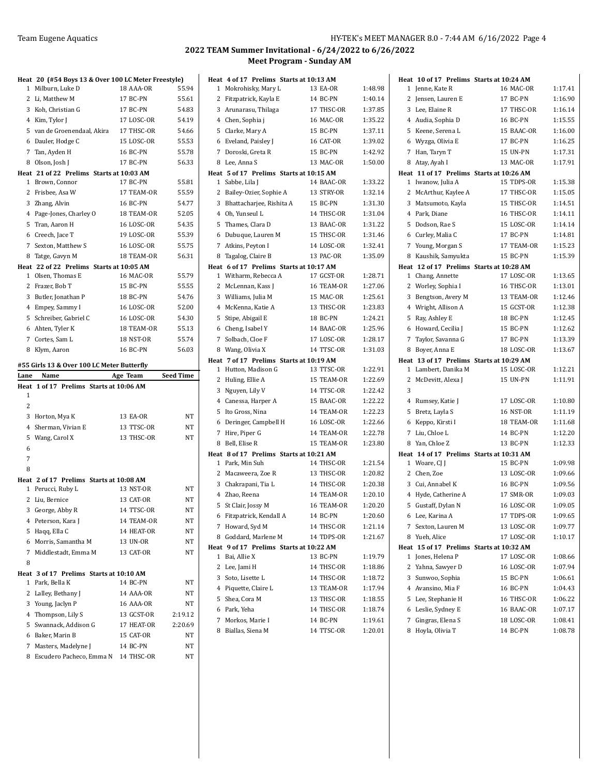|      | Heat 20 (#54 Boys 13 & Over 100 LC Meter Freestyle) |                 |           |
|------|-----------------------------------------------------|-----------------|-----------|
| 1    | Milburn, Luke D                                     | 18 AAA-OR       | 55.94     |
|      | 2 Li, Matthew M                                     | 17 BC-PN        | 55.61     |
|      | 3 Koh, Christian G                                  | 17 BC-PN        | 54.83     |
|      | 4 Kim, Tylor J                                      | 17 LOSC-OR      | 54.19     |
|      | 5 van de Groenendaal, Akira                         | 17 THSC-OR      | 54.66     |
|      | 6 Dauler, Hodge C                                   | 15 LOSC-OR      | 55.53     |
|      | 7 Tan, Ayden H                                      | 16 BC-PN        | 55.78     |
|      | 8 Olson, Josh J                                     | 17 BC-PN        | 56.33     |
|      | Heat 21 of 22 Prelims Starts at 10:03 AM            |                 |           |
|      | 1 Brown, Connor                                     | 17 BC-PN        | 55.81     |
|      | 2 Frisbee, Asa W                                    | 17 TEAM-OR      | 55.59     |
|      | 3 Zhang, Alvin                                      | 16 BC-PN        | 54.77     |
|      | 4 Page-Jones, Charley O                             | 18 TEAM-OR      | 52.05     |
|      | 5 Tran, Aaron H                                     | 16 LOSC-OR      | 54.35     |
|      | 6 Creech, Jace T                                    | 19 LOSC-OR      | 55.39     |
|      | 7 Sexton, Matthew S                                 | 16 LOSC-OR      | 55.75     |
|      | 8 Tatge, Gavyn M                                    | 18 TEAM-OR      | 56.31     |
|      | Heat 22 of 22 Prelims Starts at 10:05 AM            |                 |           |
|      | 1 Olsen, Thomas E                                   | 16 MAC-OR       | 55.79     |
|      | 2 Frazer, Bob T                                     | 15 BC-PN        | 55.55     |
|      | 3 Butler, Jonathan P                                | 18 BC-PN        | 54.76     |
|      | 4 Empey, Sammy I                                    | 16 LOSC-OR      | 52.00     |
|      | 5 Schreiber, Gabriel C                              | 16 LOSC-OR      | 54.30     |
|      | 6 Ahten, Tyler K                                    | 18 TEAM-OR      | 55.13     |
|      | 7 Cortes, Sam L                                     | 18 NST-OR       | 55.74     |
|      | 8 Klym, Aaron                                       | <b>16 BC-PN</b> | 56.03     |
|      | #55 Girls 13 & Over 100 LC Meter Butterfly          |                 |           |
| Lane | Name                                                | Age Team        | Seed Time |
|      | Heat 1 of 17 Prelims Starts at 10:06 AM             |                 |           |
|      |                                                     |                 |           |
| 1    |                                                     |                 |           |
| 2    |                                                     |                 |           |
|      | 3 Horton, Mya K                                     | 13 EA-OR        | NT        |
|      | 4 Sherman, Vivian E                                 | 13 TTSC-OR      | NT        |
|      | 5 Wang, Carol X                                     | 13 THSC-OR      | NT        |
| 6    |                                                     |                 |           |
| 7    |                                                     |                 |           |
| 8    |                                                     |                 |           |
|      | Heat 2 of 17 Prelims Starts at 10:08 AM             |                 |           |
|      | 1 Perucci, Ruby L                                   | 13 NST-OR       | NT        |
|      | 2 Liu, Bernice                                      | 13 CAT-OR       | NT        |
|      | 3 George, Abby R                                    | 14 TTSC-OR      | NT        |
|      | 4 Peterson, Kara J                                  | 14 TEAM-OR      | NΤ        |
|      | 5 Haqq, Ella C                                      | 14 HEAT-OR      | NΤ        |
| 6    | Morris, Samantha M                                  | 13 UN-OR        | NT        |
| 7    | Middlestadt, Emma M                                 | 13 CAT-OR       | NT        |
| 8    |                                                     |                 |           |
|      | Heat 3 of 17 Prelims Starts at 10:10 AM             |                 |           |
|      | 1 Park, Bella K                                     | 14 BC-PN        | NT        |
|      | 2 Lalley, Bethany J                                 | 14 AAA-OR       | NT        |
|      | 3 Young, Jaclyn P                                   | 16 AAA-OR       | ΝT        |
|      | 4 Thompson, Lily S                                  | 13 GCST-OR      | 2:19.12   |
|      | 5 Swannack, Addison G                               | 17 HEAT-OR      | 2:20.69   |
|      | 6 Baker, Marin B                                    | 15 CAT-OR       | NT        |
|      | 7 Masters, Madelyne J                               | 14 BC-PN        | ΝT        |
| 8    | Escudero Pacheco, Emma N                            | 14 THSC-OR      | ΝT        |

|                | Heat 4 of 17 Prelims Starts at 10:13 AM |                  |         |
|----------------|-----------------------------------------|------------------|---------|
|                | 1 Mokrohisky, Mary L                    | 13 EA-OR         | 1:48.98 |
| 2              | Fitzpatrick, Kayla E                    | 14 BC-PN         | 1:40.14 |
|                | 3 Arunarasu, Thilaga                    | 17 THSC-OR       | 1:37.85 |
|                | 4 Chen, Sophia j                        | <b>16 MAC-OR</b> | 1:35.22 |
|                | 5 Clarke, Mary A                        | 15 BC-PN         | 1:37.11 |
| 6              | Eveland, Paisley J                      | 16 CAT-OR        | 1:39.02 |
| $7^{\circ}$    | Doroski, Greta R                        | 15 BC-PN         | 1:42.92 |
| 8              | Lee, Anna S                             | 13 MAC-OR        | 1:50.00 |
|                | Heat 5 of 17 Prelims Starts at 10:15 AM |                  |         |
| $\mathbf{1}$   | Sabbe, Lila J                           | 14 BAAC-OR       | 1:33.22 |
|                | 2 Bailey-Ozier, Sophie A                | 13 STRY-OR       | 1:32.14 |
|                | 3 Bhattacharjee, Rishita A              | 15 BC-PN         | 1:31.30 |
|                | 4 Oh, Yunseul L                         | 14 THSC-OR       | 1:31.04 |
|                | 5 Thames, Clara D                       | 13 BAAC-OR       | 1:31.22 |
| 6              | Dubuque, Lauren M                       | 15 THSC-OR       | 1:31.46 |
| $\overline{7}$ | Atkins, Peyton I                        | 14 LOSC-OR       | 1:32.41 |
|                | 8 Tagalog, Claire B                     | 13 PAC-OR        | 1:35.09 |
|                | Heat 6 of 17 Prelims Starts at 10:17 AM |                  |         |
|                | 1 Witharm, Rebecca A                    | 17 GCST-OR       | 1:28.71 |
|                | 2 McLennan, Kass J                      | 16 TEAM-OR       | 1:27.06 |
|                | 3 Williams, Julia M                     | 15 MAC-OR        | 1:25.61 |
|                | 4 McKenna, Katie A                      | 13 THSC-OR       | 1:23.83 |
|                | 5 Stipe, Abigail E                      | 18 BC-PN         | 1:24.21 |
|                | 6 Cheng, Isabel Y                       | 14 BAAC-OR       | 1:25.96 |
| $\overline{7}$ | Solbach, Cloe F                         | 17 LOSC-OR       | 1:28.17 |
|                | 8 Wang, Olivia X                        | 14 TTSC-OR       | 1:31.03 |
|                | Heat 7 of 17 Prelims Starts at 10:19 AM |                  |         |
| $\mathbf{1}$   | Hutton, Madison G                       | 13 TTSC-OR       | 1:22.91 |
|                | 2 Huling, Ellie A                       | 15 TEAM-OR       | 1:22.69 |
|                | 3 Nguyen, Lily V                        | 14 TTSC-OR       | 1:22.42 |
|                | 4 Canessa, Harper A                     | 15 BAAC-OR       | 1:22.22 |
| 5              | Ito Gross, Nina                         | 14 TEAM-OR       | 1:22.23 |
| 6              | Deringer, Campbell H                    | 16 LOSC-OR       | 1:22.66 |
| 7              | Hire, Piper G                           | 14 TEAM-OR       | 1:22.78 |
| 8              | Bell, Elise R                           | 15 TEAM-OR       | 1:23.80 |
|                | Heat 8 of 17 Prelims Starts at 10:21 AM |                  |         |
|                | 1 Park, Min Suh                         | 14 THSC-OR       | 1:21.54 |
|                | 2 Macaweera, Zoe R                      | 13 THSC-OR       | 1:20.82 |
|                | 3 Chakrapani, Tia L                     | 14 THSC-OR       | 1:20.38 |
|                | 4 Zhao, Reena                           | 14 TEAM-OR       | 1:20.10 |
| 5              | St Clair, Jossy M                       | 16 TEAM-OR       | 1:20.20 |
| 6              | Fitzpatrick, Kendall A                  | 14 BC-PN         | 1:20.60 |
| 7              | Howard, Syd M                           | 14 THSC-OR       | 1:21.14 |
| 8              | Goddard, Marlene M                      | 14 TDPS-OR       | 1:21.67 |
|                | Heat 9 of 17 Prelims Starts at 10:22 AM |                  |         |
| 1              | Bai, Allie X                            | 13 BC-PN         | 1:19.79 |
| 2              | Lee, Jami H                             | 14 THSC-OR       | 1:18.86 |
|                | 3 Soto, Lisette L                       | 14 THSC-OR       | 1:18.72 |
|                | 4 Piquette, Claire L                    | 13 TEAM-OR       | 1:17.94 |
| 5              | Shea, Cora M                            | 13 THSC-OR       | 1:18.55 |
| 6              | Park, Yeha                              | 14 THSC-OR       | 1:18.74 |
|                | 7 Morkos, Marie I                       | 14 BC-PN         | 1:19.61 |
|                | 8 Biallas, Siena M                      | 14 TTSC-OR       | 1:20.01 |

| Heat 10 of 17 Prelims Starts at 10:24 AM                  |                                     |                    |
|-----------------------------------------------------------|-------------------------------------|--------------------|
| Jenne, Kate R<br>1                                        | 16 MAC-OR                           | 1:17.41            |
| 2<br>Jensen, Lauren E                                     | 17 BC-PN                            | 1:16.90            |
| 3<br>Lee, Elaine R                                        | 17 THSC-OR                          | 1:16.14            |
| 4 Audia, Sophia D                                         | 16 BC-PN                            | 1:15.55            |
| 5 Keene, Serena L                                         | 15 BAAC-OR                          | 1:16.00            |
| Wyzga, Olivia E<br>6                                      | 17 BC-PN                            | 1:16.25            |
| 7<br>Han, Taryn T                                         | 15 UN-PN                            | 1:17.31            |
| 8<br>Atay, Ayah I                                         | 13 MAC-OR                           | 1:17.91            |
| Heat 11 of 17 Prelims Starts at 10:26 AM                  |                                     |                    |
| Iwanow, Julia A<br>1                                      | 15 TDPS-OR                          | 1:15.38            |
| 2<br>McArthur, Kaylee A                                   | 17 THSC-OR                          | 1:15.05            |
| 3<br>Matsumoto, Kayla                                     | 15 THSC-OR                          | 1:14.51            |
| 4 Park, Diane                                             | 16 THSC-OR                          | 1:14.11            |
| 5<br>Dodson, Rae S                                        | 15 LOSC-OR                          | 1:14.14            |
| 6 Curley, Malia C                                         | 17 BC-PN                            | 1:14.81            |
| 7<br>Young, Morgan S                                      | 17 TEAM-OR                          | 1:15.23            |
| Kaushik, Samyukta<br>8                                    | 15 BC-PN                            | 1:15.39            |
| Heat 12 of 17 Prelims Starts at 10:28 AM                  |                                     |                    |
| Chang, Annette<br>1                                       | 17 LOSC-OR                          | 1:13.65            |
| 2<br>Worley, Sophia I                                     | 16 THSC-OR                          | 1:13.01            |
| 3<br>Bengtson, Avery M                                    | 13 TEAM-OR                          | 1:12.46            |
| 4 Wright, Allison A                                       | 15 GCST-OR                          | 1:12.38            |
| 5<br>Ray, Ashley E                                        | 18 BC-PN                            | 1:12.45            |
| Howard, Cecilia J<br>6                                    | 15 BC-PN                            | 1:12.62<br>1:13.39 |
| 7<br>Taylor, Savanna G<br>8                               | 17 BC-PN                            | 1:13.67            |
| Boyer, Anna E<br>Heat 13 of 17 Prelims Starts at 10:29 AM | 18 LOSC-OR                          |                    |
| Lambert, Danika M<br>1                                    | 15 LOSC-OR                          | 1:12.21            |
|                                                           |                                     |                    |
|                                                           |                                     |                    |
| 2<br>McDevitt, Alexa J<br>3                               | 15 UN-PN                            | 1:11.91            |
| 4                                                         | 17 LOSC-OR                          | 1:10.80            |
| Rumsey, Katie J<br>5                                      | <b>16 NST-OR</b>                    | 1:11.19            |
| Bretz, Layla S<br>6                                       | 18 TEAM-OR                          | 1:11.68            |
| Keppo, Kirsti I<br>7<br>Liu, Chloe L                      | 14 BC-PN                            | 1:12.20            |
| 8<br>Yan, Chloe Z                                         | 13 BC-PN                            | 1:12.33            |
| Heat 14 of 17 Prelims Starts at 10:31 AM                  |                                     |                    |
| Woare, CJ J<br>1                                          | 15 BC-PN                            | 1:09.98            |
| 2<br>Chen, Zoe                                            | 13 LOSC-OR                          | 1:09.66            |
| 3 Cui, Annabel K                                          | 16 BC-PN                            | 1:09.56            |
| 4<br>Hyde, Catherine A                                    | 17 SMR-OR                           | 1:09.03            |
| 5<br>Gustaff, Dylan N                                     | <b>16 LOSC-OR</b>                   | 1:09.05            |
| Lee, Karina A<br>6                                        | 17 TDPS-OR                          | 1:09.65            |
| 7<br>Sexton, Lauren M                                     | 13 LOSC-OR                          | 1:09.77            |
| Yueh, Alice<br>8                                          | 17 LOSC-OR                          | 1:10.17            |
| Heat                                                      | 15 of 17 Prelims Starts at 10:32 AM |                    |
| Jones, Helena P<br>1                                      | 17 LOSC-OR                          | 1:08.66            |
| 2<br>Yahna, Sawyer D                                      | 16 LOSC-OR                          | 1:07.94            |
| Sunwoo, Sophia<br>3                                       | 15 BC-PN                            | 1:06.61            |
| Avansino, Mia F<br>4                                      | <b>16 BC-PN</b>                     | 1:04.43            |
| 5<br>Lee, Stephanie H                                     | 16 THSC-OR                          | 1:06.22            |
| Leslie, Sydney E<br>6                                     | 16 BAAC-OR                          | 1:07.17            |
| Gingras, Elena S<br>7<br>Hoyla, Olivia T<br>8             | 18 LOSC-OR<br>14 BC-PN              | 1:08.41<br>1:08.78 |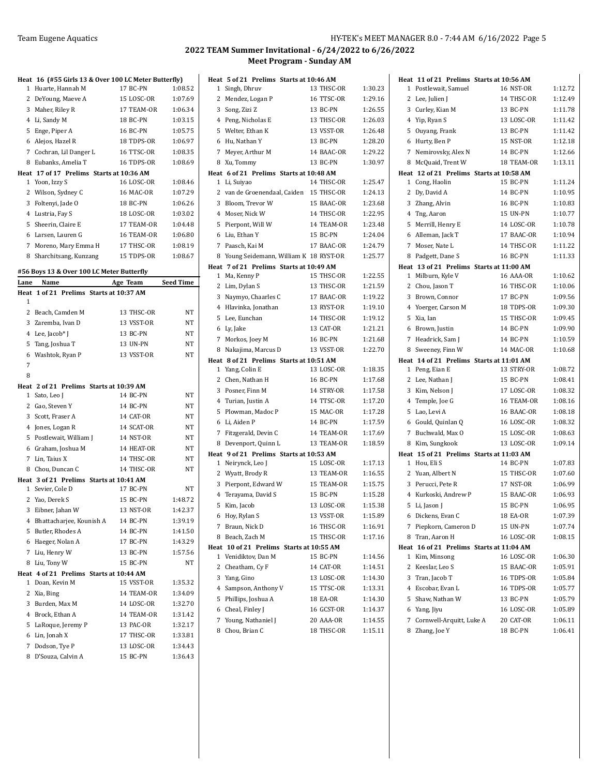|                  | Heat 16 (#55 Girls 13 & Over 100 LC Meter Butterfly) |            |                  |
|------------------|------------------------------------------------------|------------|------------------|
| 1                | Huarte, Hannah M                                     | 17 BC-PN   | 1:08.52          |
| 2                | DeYoung, Maeve A                                     | 15 LOSC-OR | 1:07.69          |
| 3                | Maher, Riley R                                       | 17 TEAM-OR | 1:06.34          |
| 4 Li, Sandy M    |                                                      | 18 BC-PN   | 1:03.15          |
| 5                | Enge, Piper A                                        | 16 BC-PN   | 1:05.75          |
|                  | 6 Alejos, Hazel R                                    | 18 TDPS-OR | 1:06.97          |
|                  | 7 Cochran, Lil Danger L                              | 16 TTSC-OR | 1:08.35          |
| 8                | Eubanks, Amelia T                                    | 16 TDPS-OR | 1:08.69          |
|                  | Heat 17 of 17 Prelims Starts at 10:36 AM             |            |                  |
| 1 Yoon, Izzy S   |                                                      | 16 LOSC-OR | 1:08.46          |
| 2                | Wilson, Sydney C                                     | 16 MAC-OR  | 1:07.29          |
| 3                | Foltenyi, Jade O                                     | 18 BC-PN   | 1:06.26          |
| 4 Lustria, Fay S |                                                      | 18 LOSC-OR | 1:03.02          |
| 5                | Sheerin, Claire E                                    | 17 TEAM-OR | 1:04.48          |
|                  | 6 Larsen, Lauren G                                   | 16 TEAM-OR | 1:06.80          |
| 7                | Moreno, Mary Emma H                                  | 17 THSC-OR | 1:08.19          |
| 8                | Sharchitsang, Kunzang                                | 15 TDPS-OR | 1:08.67          |
|                  | #56 Boys 13 & Over 100 LC Meter Butterfly            |            |                  |
| Lane             | Name                                                 | Age Team   | <b>Seed Time</b> |
|                  | Heat 1 of 21 Prelims Starts at 10:37 AM              |            |                  |
| 1                |                                                      |            |                  |
|                  | 2 Beach, Camden M                                    | 13 THSC-OR | NΤ               |
|                  | 3 Zaremba, Ivan D                                    | 13 VSST-OR | NΤ               |
| 4                | Lee, Jacob* J                                        | 13 BC-PN   | NT               |
| 5                | Tang, Joshua T                                       | 13 UN-PN   | ΝT               |
| 6                | Washtok, Ryan P                                      | 13 VSST-OR | NT               |
| 7                |                                                      |            |                  |
| 8                |                                                      |            |                  |
|                  | Heat 2 of 21 Prelims Starts at 10:39 AM              |            |                  |
| Sato, Leo J<br>1 |                                                      | 14 BC-PN   | NT               |
| 2 Gao, Steven Y  |                                                      | 14 BC-PN   | NΤ               |
| 3                | Scott, Fraser A                                      | 14 CAT-OR  | NΤ               |
| 4                | Jones, Logan R                                       | 14 SCAT-OR | NT               |
| 5                | Postlewait, William J                                | 14 NST-OR  | ΝT               |
|                  | 6 Graham, Joshua M                                   | 14 HEAT-OR | NT               |
| 7 Lin. Taius X   |                                                      | 14 THSC-OR | NΤ               |
| 8                | Chou, Duncan C                                       | 14 THSC-OR | NΤ               |
|                  | Heat 3 of 21 Prelims Starts at 10:41 AM              |            |                  |
| 1                | Sevier, Cole D                                       | 17 BC-PN   | NT               |
| 2                | Yao, Derek S                                         | 15 BC-PN   | 1:48.72          |
|                  | Eibner, Jahan W                                      | 13 NST-OR  | 1:42.37          |
| 3                |                                                      |            |                  |
| 4                | Bhattacharjee, Kounish A                             | 14 BC-PN   | 1:39.19          |
| 5                | Butler, Rhodes A                                     | 14 BC-PN   | 1:41.50          |
| 6                | Haeger, Nolan A                                      | 17 BC-PN   | 1:43.29          |
| 7                | Liu, Henry W                                         | 13 BC-PN   | 1:57.56          |
| 8                | Liu, Tony W                                          | 15 BC-PN   | NΤ               |
|                  | Heat 4 of 21 Prelims Starts at 10:44 AM              |            |                  |
| 1                | Doan, Kevin M                                        | 15 VSST-OR | 1:35.32          |
| 2<br>Xia, Bing   |                                                      | 14 TEAM-OR | 1:34.09          |
| 3                | Burden, Max M                                        | 14 LOSC-OR | 1:32.70          |
| 4                | Brock, Ethan A                                       | 14 TEAM-OR | 1:31.42          |
| 5                | LaRoque, Jeremy P                                    | 13 PAC-OR  | 1:32.17          |
| 6                | Lin, Jonah X                                         | 17 THSC-OR | 1:33.81          |
| 7                | Dodson, Tye P                                        | 13 LOSC-OR | 1:34.43          |

|              | Heat 5 of 21 Prelims Starts at 10:46 AM  |            |         |
|--------------|------------------------------------------|------------|---------|
| $\mathbf{1}$ | Singh, Dhruv                             | 13 THSC-OR | 1:30.23 |
| 2            | Mendez, Logan P                          | 16 TTSC-OR | 1:29.16 |
| 3            | Song, Zizi Z                             | 13 BC-PN   | 1:26.55 |
|              | 4 Peng, Nicholas E                       | 13 THSC-OR | 1:26.03 |
|              | 5 Welter, Ethan K                        | 13 VSST-OR | 1:26.48 |
|              | 6 Hu, Nathan Y                           | 13 BC-PN   | 1:28.20 |
| 7            | Meyer, Arthur M                          | 14 BAAC-OR | 1:29.22 |
| 8            | Xu, Tommy                                | 13 BC-PN   | 1:30.97 |
|              | Heat 6 of 21 Prelims Starts at 10:48 AM  |            |         |
| 1            | Li, Suiyao                               | 14 THSC-OR | 1:25.47 |
| 2            | van de Groenendaal, Caiden               | 15 THSC-OR | 1:24.13 |
| 3            | Bloom, Trevor W                          | 15 BAAC-OR | 1:23.68 |
|              | 4 Moser, Nick W                          | 14 THSC-OR | 1:22.95 |
| 5            | Pierpont, Will W                         | 14 TEAM-OR | 1:23.48 |
| 6            | Liu, Ethan Y                             | 15 BC-PN   | 1:24.04 |
| 7            | Paasch, Kai M                            | 17 BAAC-OR | 1:24.79 |
| 8            | Young Seidemann, William K 18 RYST-OR    |            | 1:25.77 |
|              | Heat 7 of 21 Prelims Starts at 10:49 AM  |            |         |
| 1            | Ma, Kenny P                              | 15 THSC-OR | 1:22.55 |
|              | 2 Lim, Dylan S                           | 13 THSC-OR | 1:21.59 |
| 3            | Naymyo, Chaarles C                       | 17 BAAC-OR | 1:19.22 |
|              | 4 Hlavinka, Jonathan                     | 13 RYST-OR | 1:19.10 |
| 5            | Lee, Eunchan                             | 14 THSC-OR | 1:19.12 |
| 6            | Ly, Jake                                 | 13 CAT-OR  | 1:21.21 |
| 7            | Morkos, Joey M                           | 16 BC-PN   | 1:21.68 |
| 8            | Nakajima, Marcus D                       | 13 VSST-OR | 1:22.70 |
|              | Heat 8 of 21 Prelims Starts at 10:51 AM  |            |         |
|              | 1 Yang, Colin E                          | 13 LOSC-OR | 1:18.35 |
| 2            | Chen, Nathan H                           | 16 BC-PN   | 1:17.68 |
|              | 3 Posner, Finn M                         | 14 STRY-OR | 1:17.58 |
|              | 4 Turian, Justin A                       | 14 TTSC-OR | 1:17.20 |
| 5            | Plowman, Madoc P                         | 15 MAC-OR  | 1:17.28 |
| 6            | Li, Aiden P                              | 14 BC-PN   | 1:17.59 |
| 7            | Fitzgerald, Devin C                      | 14 TEAM-OR | 1:17.69 |
| 8            | Devenport, Quinn L                       | 13 TEAM-OR | 1:18.59 |
|              | Heat 9 of 21 Prelims Starts at 10:53 AM  |            |         |
| 1            | Neirynck, Leo J                          | 15 LOSC-OR | 1:17.13 |
| 2            | Wyatt, Brody R                           | 13 TEAM-OR | 1:16.55 |
| 3            | Pierpont, Edward W                       | 15 TEAM-OR | 1:15.75 |
|              | 4 Terayama, David S                      | 15 BC-PN   | 1:15.28 |
| 5            | Kim, Jacob                               | 13 LOSC-OR | 1:15.38 |
|              | 6 Hoy, Rylan S                           | 13 VSST-OR | 1:15.89 |
| 7            | Braun, Nick D                            | 16 THSC-OR | 1:16.91 |
| 8            | Beach, Zach M                            | 15 THSC-OR | 1:17.16 |
|              | Heat 10 of 21 Prelims Starts at 10:55 AM |            |         |
| $\mathbf{1}$ | Venidiktov, Dan M                        | 15 BC-PN   | 1:14.56 |
| 2            | Cheatham, Cy F                           | 14 CAT-OR  | 1:14.51 |
|              | 3 Yang, Gino                             | 13 LOSC-OR | 1:14.30 |
| 4            | Sampson, Anthony V                       | 15 TTSC-OR | 1:13.31 |
| 5            | Phillips, Joshua A                       | 18 EA-OR   | 1:14.30 |
| 6            | Cheal, Finley J                          | 16 GCST-OR | 1:14.37 |
| 7            | Young, Nathaniel J                       | 20 AAA-OR  | 1:14.55 |
| 8            | Chou, Brian C                            | 18 THSC-OR | 1:15.11 |

| 11 of 21 Prelims Starts at 10:56 AM<br>Heat |                 |         |
|---------------------------------------------|-----------------|---------|
| Postlewait, Samuel<br>1                     | 16 NST-OR       | 1:12.72 |
| 2<br>Lee, Julien J                          | 14 THSC-OR      | 1:12.49 |
| 3<br>Curley, Kian M                         | 13 BC-PN        | 1:11.78 |
| 4 Yip, Ryan S                               | 13 LOSC-OR      | 1:11.42 |
| 5<br>Ouyang, Frank                          | 13 BC-PN        | 1:11.42 |
| 6<br>Hurty, Ben P                           | 15 NST-OR       | 1:12.18 |
| Nemirovsky, Alex N<br>7                     | 14 BC-PN        | 1:12.66 |
| McQuaid, Trent W<br>8                       | 18 TEAM-OR      | 1:13.11 |
| Heat 12 of 21 Prelims Starts at 10:58 AM    |                 |         |
| Cong, Haolin<br>1                           | 15 BC-PN        | 1:11.24 |
| 2<br>Dy, David A                            | 14 BC-PN        | 1:10.95 |
| 3<br>Zhang, Alvin                           | <b>16 BC-PN</b> | 1:10.83 |
| 4<br>Tng, Aaron                             | 15 UN-PN        | 1:10.77 |
| 5<br>Merrill, Henry E                       | 14 LOSC-OR      | 1:10.78 |
| Alleman, Jack T<br>6                        | 17 BAAC-OR      | 1:10.94 |
| 7<br>Moser, Nate L                          | 14 THSC-OR      | 1:11.22 |
| Padgett, Dane S<br>8                        | 16 BC-PN        | 1:11.33 |
| Heat 13 of 21 Prelims Starts at 11:00 AM    |                 |         |
| Milburn, Kyle V<br>1                        | 16 AAA-OR       | 1:10.62 |
| 2<br>Chou, Jason T                          | 16 THSC-OR      | 1:10.06 |
| 3<br>Brown, Connor                          | 17 BC-PN        | 1:09.56 |
| 4<br>Yoerger, Carson M                      | 18 TDPS-OR      | 1:09.30 |
| 5<br>Xia, Ian                               | 15 THSC-OR      | 1:09.45 |
| 6<br>Brown, Justin                          | 14 BC-PN        | 1:09.90 |
| 7<br>Headrick, Sam J                        | 14 BC-PN        | 1:10.59 |
| Sweeney, Finn W<br>8                        | 14 MAC-OR       | 1:10.68 |
|                                             |                 |         |
| Heat 14 of 21 Prelims Starts at 11:01 AM    |                 |         |
| Peng, Eian E<br>1                           | 13 STRY-OR      | 1:08.72 |
| 2<br>Lee, Nathan J                          | 15 BC-PN        | 1:08.41 |
| 3<br>Kim, Nelson J                          | 17 LOSC-OR      | 1:08.32 |
| Temple, Joe G<br>4                          | 16 TEAM-OR      | 1:08.16 |
| Lao, Levi A<br>5                            | 16 BAAC-OR      | 1:08.18 |
| Gould, Quinlan Q<br>6                       | 16 LOSC-OR      | 1:08.32 |
| Buchwald, Max O<br>7                        | 15 LOSC-OR      | 1:08.63 |
| Kim, Sungkook<br>8                          | 13 LOSC-OR      | 1:09.14 |
| Heat 15 of 21 Prelims Starts at 11:03 AM    |                 |         |
| Hou, Eli S<br>1                             | 14 BC-PN        | 1:07.83 |
| 2<br>Yuan, Albert N                         | 15 THSC-OR      | 1:07.60 |
| 3<br>Perucci, Pete R                        | 17 NST-OR       | 1:06.99 |
| Kurkoski, Andrew P<br>4                     | 15 BAAC-OR      | 1:06.93 |
| 5<br>Li, Jason J                            | 15 BC-PN        | 1:06.95 |
| 6 Dickens, Evan C                           | 18 EA-OR        | 1:07.39 |
| Piepkorn, Cameron D<br>7                    | 15 UN-PN        | 1:07.74 |
| Tran, Aaron H<br>8                          | 16 LOSC-OR      | 1:08.15 |
| 16 of 21 Prelims Starts at 11:04 AM<br>Heat |                 |         |
| 1<br>Kim, Minsong                           | 16 LOSC-OR      | 1:06.30 |
| 2<br>Keeslar, Leo S                         | 15 BAAC-OR      | 1:05.91 |
| 3<br>Tran, Jacob T                          | 16 TDPS-OR      | 1:05.84 |
| 4<br>Escobar, Evan L                        | 16 TDPS-OR      | 1:05.77 |
| Shaw, Nathan W<br>5                         | 13 BC-PN        | 1:05.79 |
| Yang, Jiyu<br>6                             | 16 LOSC-OR      | 1:05.89 |
| 7<br>Cornwell-Arquitt, Luke A               | 20 CAT-OR       | 1:06.11 |